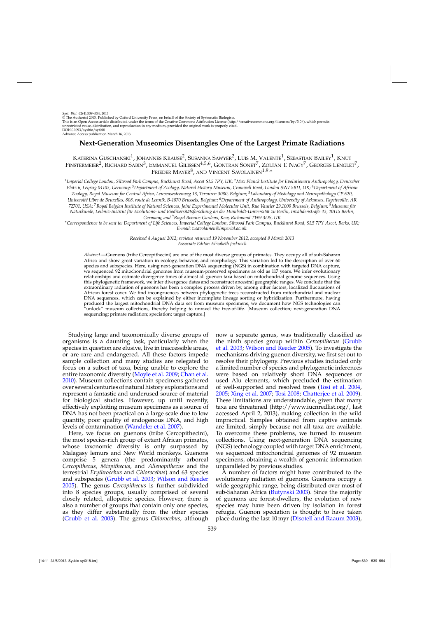# **Next-Generation Museomics Disentangles One of the Largest Primate Radiations**

KATERINA GUSCHANSKI<sup>1</sup>, JOHANNES KRAUSE<sup>2</sup>, SUSANNA SAWYER<sup>2</sup>, LUIS M. VALENTE<sup>1</sup>, SEBASTIAN BAILEY<sup>1</sup>, KNUT FINSTERMEIER<sup>2</sup>, RICHARD SABIN<sup>3</sup>, EMMANUEL GILISSEN<sup>4,5,6</sup>, GONTRAN SONET<sup>7</sup>, ZOLTÁN T. NAGY<sup>7</sup>, GEORGES LENGLET<sup>7</sup>, FRIEDER MAYER<sup>8</sup>, AND VINCENT SAVOLAINEN<sup>1,9,\*</sup>

<sup>1</sup>*Imperial College London, Silwood Park Campus, Buckhurst Road, Ascot SL5 7PY, UK;* <sup>2</sup>*Max Planck Institute for Evolutionary Anthropology, Deutscher Platz 6, Leipzig 04103, Germany;* <sup>3</sup>*Department of Zoology, Natural History Museum, Cromwell Road, London SW7 5BD, UK;* <sup>4</sup>*Department of African Zoology, Royal Museum for Central Africa, Leuvensesteenweg 13, Tervuren 3080, Belgium;* <sup>5</sup>*Laboratory of Histology and Neuropathology CP 620, Université Libre de Bruxelles, 808, route de Lennik, B-1070 Brussels, Belgium;* <sup>6</sup>*Department of Anthropology, University of Arkansas, Fayetteville, AR 72701, USA;* <sup>7</sup>*Royal Belgian Institute of Natural Sciences, Joint Experimental Molecular Unit, Rue Vautier 29,1000 Brussels, Belgium;* <sup>8</sup>*Museum für Naturkunde, Leibniz-Institut für Evolutions- und Biodiversitätsforschung an der Humboldt-Universität zu Berlin, Invalidenstraße 43, 10115 Berlin, Germany; and* <sup>9</sup>*Royal Botanic Gardens, Kew, Richmond TW9 3DS, UK*

∗*Correspondence to be sent to: Department of Life Sciences, Imperial College London, Silwood Park Campus, Buckhurst Road, SL5 7PY Ascot, Berks, UK; E-mail: v.savolainen@imperial.ac.uk.*

> *Received 4 August 2012; reviews returned 19 November 2012; accepted 8 March 2013 Associate Editor: Elizabeth Jockusch*

*Abstract*.—Guenons (tribe Cercopithecini) are one of the most diverse groups of primates. They occupy all of sub-Saharan Africa and show great variation in ecology, behavior, and morphology. This variation led to the description of over 60 species and subspecies. Here, using next-generation DNA sequencing (NGS) in combination with targeted DNA capture, we sequenced 92 mitochondrial genomes from museum-preserved specimens as old as 117 years. We infer evolutionary relationships and estimate divergence times of almost all guenon taxa based on mitochondrial genome sequences. Using this phylogenetic framework, we infer divergence dates and reconstruct ancestral geographic ranges. We conclude that the extraordinary radiation of guenons has been a complex process driven by, among other factors, localized fluctuations of African forest cover. We find incongruences between phylogenetic trees reconstructed from mitochondrial and nuclear DNA sequences, which can be explained by either incomplete lineage sorting or hybridization. Furthermore, having produced the largest mitochondrial DNA data set from museum specimens, we document how NGS technologies can "unlock" museum collections, thereby helping to unravel the tree-of-life. [Museum collection; next-generation DNA sequencing; primate radiation; speciation; target capture.]

Studying large and taxonomically diverse groups of organisms is a daunting task, particularly when the species in question are elusive, live in inaccessible areas, or are rare and endangered. All these factors impede sample collection and many studies are relegated to focus on a subset of taxa, being unable to explore the entire taxonomic diversity [\(Moyle et al. 2009](#page-14-0); [Chan et al.](#page-13-0) [2010\)](#page-13-0). Museum collections contain specimens gathered over several centuries of natural history explorations and represent a fantastic and underused source of material for biological studies. However, up until recently, effectively exploiting museum specimens as a source of DNA has not been practical on a large scale due to low quantity, poor quality of endogenous DNA, and high levels of contamination [\(Wandeler et al. 2007\)](#page-15-0).

Here, we focus on guenons (tribe Cercopithecini), the most species-rich group of extant African primates, whose taxonomic diversity is only surpassed by Malagasy lemurs and New World monkeys. Guenons comprise 5 genera (the predominantly arboreal *Cercopithecus*, *Miopithecus*, and *Allenopithecus* and the terrestrial *Erythrocebus* and *Chlorocebus*) and 63 species and subspecies [\(Grubb et al. 2003;](#page-13-0) [Wilson and Reeder](#page-15-0) [2005\)](#page-15-0). The genus *Cercopithecus* is further subdivided into 8 species groups, usually comprised of several closely related, allopatric species. However, there is also a number of groups that contain only one species, as they differ substantially from the other species [\(Grubb et al. 2003](#page-13-0)). The genus *Chlorocebus*, although now a separate genus, was traditionally classified as the [ninth species group within](#page-13-0) *Cercopithecus* (Grubb et al. [2003](#page-13-0); [Wilson and Reeder 2005\)](#page-15-0). To investigate the mechanisms driving guenon diversity, we first set out to resolve their phylogeny. Previous studies included only a limited number of species and phylogenetic inferences were based on relatively short DNA sequences or used Alu elements, which precluded the estimation of well-supported and resolved trees [\(Tosi et al. 2004](#page-14-0), [2005;](#page-14-0) [Xing et al. 2007;](#page-15-0) [Tosi 2008;](#page-14-0) [Chatterjee et al. 2009](#page-13-0)). These limitations are understandable, given that many taxa are threatened (http://www.iucnredlist.org/, last accessed April 2, 2013), making collection in the wild impractical. Samples obtained from captive animals are limited, simply because not all taxa are available. To overcome these problems, we turned to museum collections. Using next-generation DNA sequencing (NGS) technology coupled with target DNA enrichment, we sequenced mitochondrial genomes of 92 museum specimens, obtaining a wealth of genomic information unparalleled by previous studies.

A number of factors might have contributed to the evolutionary radiation of guenons. Guenons occupy a wide geographic range, being distributed over most of sub-Saharan Africa [\(Butynski 2003](#page-13-0)). Since the majority of guenons are forest-dwellers, the evolution of new species may have been driven by isolation in forest refugia. Guenon speciation is thought to have taken place during the last 10 myr [\(Disotell and Raaum 2003](#page-13-0)),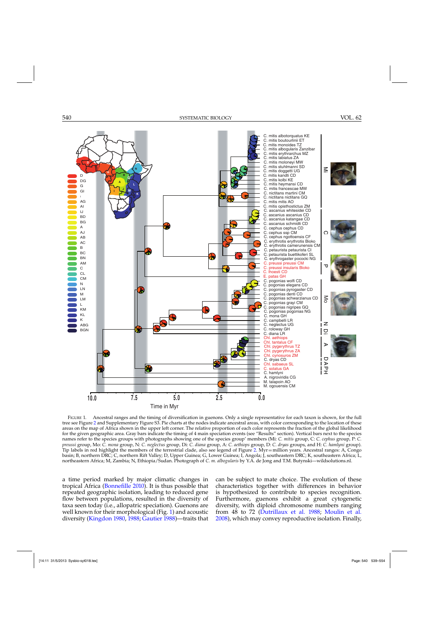<span id="page-1-0"></span>

FIGURE 1. Ancestral ranges and the timing of diversification in guenons. Only a single representative for each taxon is shown, for the full tree see Figure [2](#page-7-0) and Supplementary Figure S3. Pie charts at the nodes indicate ancestral areas, with color corresponding to the location of these areas on the map of Africa shown in the upper left corner. The relative proportion of each color represents the fraction of the global likelihood for the given geographic area. Gray bars indicate the timing of 4 main speciation events (see "Results" section). Vertical bars next to the species names refer to the species groups with photographs showing one of the species group' members (Mi: *C. mitis* group, C: *C. cephus* group, P: *C. preussi* group, Mo: *C. mona* group, N: *C. neglectus* group, Di: *C. diana* group, A: *C. aethiops* group, D: *C. dryas* groups, and H: *C. hamlyni* group). Tip labels in red highlight the members of the terrestrial clade, also see legend of Figure [2.](#page-7-0) Myr=million years. Ancestral ranges: A, Congo basin; B, northern DRC; C, northern Rift Valley; D, Upper Guinea; G, Lower Guinea; I, Angola; J, southeastern DRC; K, southeastern Africa; L, northeastern Africa; M, Zambia; N, Ethiopia/Sudan. Photograph of *C. m. albogularis* by Y.A. de Jong and T.M. Butynski—wildsolutions.nl.

a time period marked by major climatic changes in tropical Africa [\(Bonnefille 2010](#page-12-0)). It is thus possible that repeated geographic isolation, leading to reduced gene flow between populations, resulted in the diversity of taxa seen today (i.e., allopatric speciation). Guenons are well known for their morphological (Fig. 1) and acoustic diversity [\(Kingdon 1980](#page-14-0), [1988](#page-13-0); [Gautier 1988\)](#page-13-0)—traits that can be subject to mate choice. The evolution of these characteristics together with differences in behavior is hypothesized to contribute to species recognition. Furthermore, guenons exhibit a great cytogenetic diversity, with diploid chromosome numbers ranging from 48 to 72 [\(Dutrillaux et al. 1988](#page-13-0); [Moulin et al.](#page-14-0) [2008\)](#page-14-0), which may convey reproductive isolation. Finally,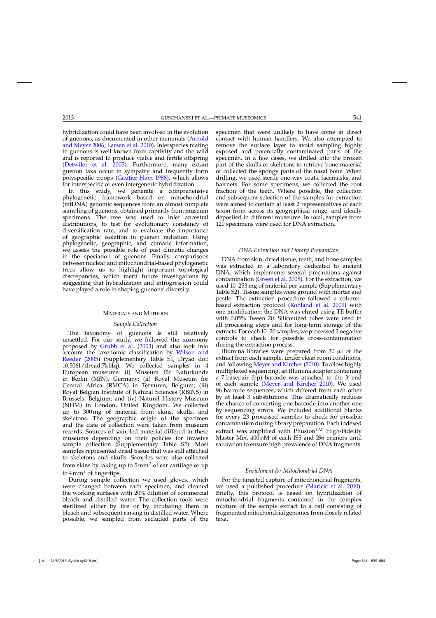hybridization could have been involved in the evolution of guenon[s, as documented in other mammals \(](#page-12-0)Arnold and Meyer [2006;](#page-12-0) [Larsen et al. 2010](#page-14-0)). Interspecies mating in guenons is well known from captivity and the wild and is reported to produce viable and fertile offspring [\(Detwiler et al. 2005](#page-13-0)). Furthermore, many extant guenon taxa occur in sympatry and frequently form polyspecific troops [\(Gautier-Hion 1988](#page-13-0)), which allows for interspecific or even intergeneric hybridization.

In this study, we generate a comprehensive phylogenetic framework based on mitochondrial (mtDNA) genomic sequences from an almost complete sampling of guenons, obtained primarily from museum specimens. The tree was used to infer ancestral distributions, to test for evolutionary constancy of diversification rate, and to evaluate the importance of geographic isolation in guenon radiation. Using phylogenetic, geographic, and climatic information, we assess the possible role of past climatic changes in the speciation of guenons. Finally, comparisons between nuclear and mitochondrial-based phylogenetic trees allow us to highlight important topological discrepancies, which merit future investigations by suggesting that hybridization and introgression could have played a role in shaping guenons' diversity.

### MATERIALS AND METHODS

#### *Sample Collection*

The taxonomy of guenons is still relatively unsettled. For our study, we followed the taxonomy proposed by [Grubb et al.](#page-13-0) [\(2003](#page-13-0)) and also took into accoun[t the taxonomic classification by](#page-15-0) Wilson and Reeder [\(2005\)](#page-15-0) (Supplementary Table S1, Dryad doi: 10.5061/dryad.7k14q). We collected samples in 4 European museums: (i) Museum für Naturkunde in Berlin (MfN), Germany; (ii) Royal Museum for Central Africa (RMCA) in Tervuren, Belgium; (iii) Royal Belgian Institute of Natural Sciences (RBINS) in Brussels, Belgium; and (iv) Natural History Museum (NHM) in London, United Kingdom. We collected up to 300 mg of material from skins, skulls, and skeletons. The geographic origin of the specimen and the date of collection were taken from museum records. Sources of sampled material differed in these museums depending on their policies for invasive sample collection (Supplementary Table S2). Most samples represented dried tissue that was still attached to skeletons and skulls. Samples were also collected from skins by taking up to  $5mm^2$  of ear cartilage or up to  $4 \text{mm}^2$  of fingertips.

During sample collection we used gloves, which were changed between each specimen, and cleaned the working surfaces with 20% dilution of commercial bleach and distilled water. The collection tools were sterilized either by fire or by incubating them in bleach and subsequent rinsing in distilled water. Where possible, we sampled from secluded parts of the

specimen that were unlikely to have come in direct contact with human handlers. We also attempted to remove the surface layer to avoid sampling highly exposed and potentially contaminated parts of the specimen. In a few cases, we drilled into the broken part of the skulls or skeletons to retrieve bone material or collected the spongy parts of the nasal bone. When drilling, we used sterile one-way coats, facemasks, and hairnets. For some specimens, we collected the root fraction of the teeth. Where possible, the collection and subsequent selection of the samples for extraction were aimed to contain at least 2 representatives of each taxon from across its geographical range, and ideally deposited in different museums. In total, samples from 120 specimens were used for DNA extraction.

### *DNA Extraction and Library Preparation*

DNA from skin, dried tissue, teeth, and bone samples was extracted in a laboratory dedicated to ancient DNA, which implements several precautions against contamination [\(Green et al. 2008](#page-13-0)). For the extraction, we used 10–253 mg of material per sample (Supplementary Table S2). Tissue samples were ground with mortar and pestle. The extraction procedure followed a columnbased extraction protocol [\(Rohland et al. 2009](#page-14-0)) with one modification: the DNA was eluted using TE buffer with 0.05% Tween 20. Siliconized tubes were used in all processing steps and for long-term storage of the extracts. For each 10–20 samples, we processed 2 negative controls to check for possible cross-contamination during the extraction process.

Illumina libraries were prepared from 30  $\mu$ l of the extract from each sample, under clean room conditions, and following [Meyer and Kircher](#page-14-0) [\(2010](#page-14-0)). To allow highly multiplexed sequencing, an Illumina adapter containing a 7-basepair (bp) barcode was attached to the 3'-end of each sample [\(Meyer and Kircher 2010](#page-14-0)). We used 96 barcode sequences, which differed from each other by at least 3 substitutions. This dramatically reduces the chance of converting one barcode into another one by sequencing errors. We included additional blanks for every 23 processed samples to check for possible contamination during library preparation. Each indexed extract was amplified with Phusion<sup>TM</sup> High-Fidelity Master Mix, 400 nM of each IS5 and IS6 primers until saturation to ensure high prevalence of DNA fragments.

### *Enrichment for Mitochondrial DNA*

For the targeted capture of mitochondrial fragments, we used a published procedure [\(Maricic et al. 2010](#page-14-0)). Briefly, this protocol is based on hybridization of mitochondrial fragments contained in the complex mixture of the sample extract to a bait consisting of fragmented mitochondrial genomes from closely related taxa.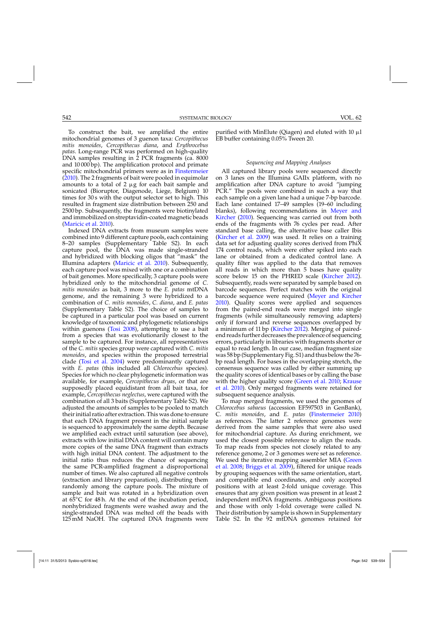To construct the bait, we amplified the entire mitochondrial genomes of 3 guenon taxa: *Cercopithecus mitis monoides*, *Cercopithecus diana*, and *Erythrocebus patas*. Long-range PCR was performed on high-quality DNA samples resulting in 2 PCR fragments (ca. 8000 and 10 000 bp). The amplification protocol and primate specific mitochondrial primers were as in [Finstermeier](#page-13-0)  $(2010)$ . The 2 fragments of bait were pooled in equimolar amounts to a total of 2  $\mu{\rm g}$  for each bait sample and sonicated (Bioruptor, Diagenode, Liege, Belgium) 10 times for 30 s with the output selector set to high. This resulted in fragment size distribution between 250 and 2500 bp. Subsequently, the fragments were biotinylated and immobilized on streptavidin-coated magnetic beads

[\(Maricic et al. 2010\)](#page-14-0). Indexed DNA extracts from museum samples were combined into 9 different capture pools, each containing 8–20 samples (Supplementary Table S2). In each capture pool, the DNA was made single-stranded and hybridized with blocking oligos that "mask" the Illumina adapters [\(Maricic et al. 2010](#page-14-0)). Subsequently, each capture pool was mixed with one or a combination of bait genomes. More specifically, 3 capture pools were hybridized only to the mitochondrial genome of *C. mitis monoides* as bait, 3 more to the *E. patas* mtDNA genome, and the remaining 3 were hybridized to a combination of *C. mitis monoides*, *C. diana*, and *E. patas* (Supplementary Table S2). The choice of samples to be captured in a particular pool was based on current knowledge of taxonomic and phylogenetic relationships within guenons [\(Tosi 2008\)](#page-14-0), attempting to use a bait from a species that was evolutionarily closest to the sample to be captured. For instance, all representatives of the *C. mitis* species group were captured with *C. mitis monoides*, and species within the proposed terrestrial clade [\(Tosi et al. 2004\)](#page-14-0) were predominantly captured with *E. patas* (this included all *Chlorocebus* species). Species for which no clear phylogenetic information was available, for example, *Cercopithecus dryas*, or that are supposedly placed equidistant from all bait taxa, for example, *Cercopithecus neglectus*, were captured with the combination of all 3 baits (Supplementary Table S2). We adjusted the amounts of samples to be pooled to match their initial ratio after extraction. This was done to ensure that each DNA fragment present in the initial sample is sequenced to approximately the same depth. Because we amplified each extract until saturation (see above), extracts with low initial DNA content will contain many more copies of the same DNA fragment than extracts with high initial DNA content. The adjustment to the initial ratio thus reduces the chance of sequencing the same PCR-amplified fragment a disproportional number of times. We also captured all negative controls (extraction and library preparation), distributing them randomly among the capture pools. The mixture of sample and bait was rotated in a hybridization oven at  $6\overline{5}$ °C for 48 h. At the end of the incubation period, nonhybridized fragments were washed away and the single-stranded DNA was melted off the beads with 125 mM NaOH. The captured DNA fragments were

purified with MinElute (Qiagen) and eluted with 10  $\mu$ l EB buffer containing 0.05% Tween 20.

# *Sequencing and Mapping Analyses*

All captured library pools were sequenced directly on 3 lanes on the Illumina GAIIx platform, with no amplification after DNA capture to avoid "jumping PCR." The pools were combined in such a way that each sample on a given lane had a unique 7-bp barcode. Each lane contained 17–49 samples (19–60 including blanks)[, following recommendations in](#page-14-0) Meyer and Kircher [\(2010\)](#page-14-0). Sequencing was carried out from both ends of the fragments with 76 cycles per read. After standard base calling, the alternative base caller Ibis [\(Kircher et al. 2009](#page-14-0)) was used. It relies on a training data set for adjusting quality scores derived from PhiX 174 control reads, which were either spiked into each lane or obtained from a dedicated control lane. A quality filter was applied to the data that removes all reads in which more than 5 bases have quality score below 15 on the PHRED scale [\(Kircher 2012\)](#page-14-0). Subsequently, reads were separated by sample based on barcode sequences. Perfect matches with the original barcode sequence were required [\(Meyer and Kircher](#page-14-0) [2010\)](#page-14-0). Quality scores were applied and sequences from the paired-end reads were merged into single fragments (while simultaneously removing adapters) only if forward and reverse sequences overlapped by a minimum of 11 bp [\(Kircher 2012](#page-14-0)). Merging of pairedend reads further decreases the prevalence of sequencing errors, particularly in libraries with fragments shorter or equal to read length. In our case, median fragment size was 58 bp (Supplementary Fig. S1) and thus below the 76 bp read length. For bases in the overlapping stretch, the consensus sequence was called by either summing up the quality scores of identical bases or by calling the base with [the](#page-14-0) [higher](#page-14-0) [quality](#page-14-0) [score](#page-14-0) [\(Green et al. 2010](#page-13-0)[;](#page-14-0) Krause et al. [2010\)](#page-14-0). Only merged fragments were retained for subsequent sequence analysis.

To map merged fragments, we used the genomes of *Chlorocebus sabaeus* (accession EF597503 in GenBank), C. *mitis monoides*, and *E. patas* [\(Finstermeier 2010](#page-13-0)) as references. The latter 2 reference genomes were derived from the same samples that were also used for mitochondrial capture. As during enrichment, we used the closest possible reference to align the reads. To map reads from species not closely related to any reference genome, 2 or 3 genomes were set as reference. We [used the iterative mapping assembler MIA \(](#page-13-0)Green et al. [2008](#page-13-0); [Briggs et al. 2009](#page-13-0)), filtered for unique reads by grouping sequences with the same orientation, start, and compatible end coordinates, and only accepted positions with at least 2-fold unique coverage. This ensures that any given position was present in at least 2 independent mtDNA fragments. Ambiguous positions and those with only 1-fold coverage were called N. Their distribution by sample is shown in Supplementary Table S2. In the 92 mtDNA genomes retained for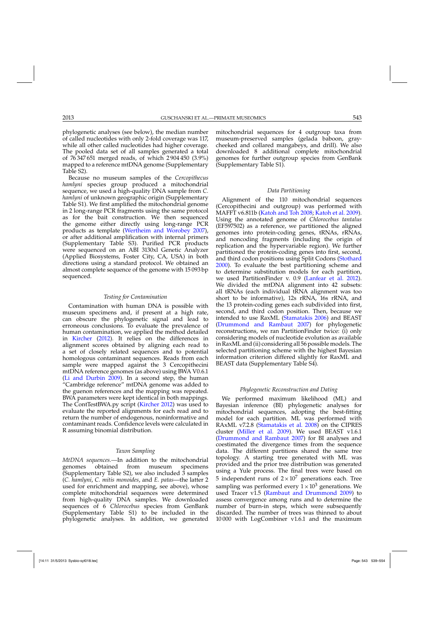phylogenetic analyses (see below), the median number of called nucleotides with only 2-fold coverage was 117, while all other called nucleotides had higher coverage. The pooled data set of all samples generated a total of 76 347 651 merged reads, of which 2 904 450 (3.9%) mapped to a reference mtDNA genome (Supplementary Table S2).

Because no museum samples of the *Cercopithecus hamlyni* species group produced a mitochondrial sequence, we used a high-quality DNA sample from *C. hamlyni* of unknown geographic origin (Supplementary Table S1). We first amplified the mitochondrial genome in 2 long-range PCR fragments using the same protocol as for the bait construction. We then sequenced the genome either directly using long-range PCR products as template [\(Wertheim and Worobey 2007\)](#page-15-0), or after additional amplification with internal primers (Supplementary Table S3). Purified PCR products were sequenced on an ABI 3130xl Genetic Analyzer (Applied Biosystems, Foster City, CA, USA) in both directions using a standard protocol. We obtained an almost complete sequence of the genome with 15 093 bp sequenced.

#### *Testing for Contamination*

Contamination with human DNA is possible with museum specimens and, if present at a high rate, can obscure the phylogenetic signal and lead to erroneous conclusions. To evaluate the prevalence of human contamination, we applied the method detailed in [Kircher](#page-14-0) [\(2012](#page-14-0)). It relies on the differences in alignment scores obtained by aligning each read to a set of closely related sequences and to potential homologous contaminant sequences. Reads from each sample were mapped against the 3 Cercopithecini mtDNA reference genomes (as above) using BWA V0.6.1 [\(Li and Durbin 2009](#page-14-0)). In a second step, the human "Cambridge reference" mtDNA genome was added to the guenon references and the mapping was repeated. BWA parameters were kept identical in both mappings. The ContTestBWA.py script [\(Kircher 2012\)](#page-14-0) was used to evaluate the reported alignments for each read and to return the number of endogenous, noninformative and contaminant reads. Confidence levels were calculated in R assuming binomial distribution.

# *Taxon Sampling*

*MtDNA sequences.—*In addition to the mitochondrial genomes obtained from museum (Supplementary Table S2), we also included 3 samples (*C. hamlyni*, *C. mitis monoides*, and *E. patas*—the latter 2 used for enrichment and mapping, see above), whose complete mitochondrial sequences were determined from high-quality DNA samples. We downloaded sequences of 6 *Chlorocebus* species from GenBank (Supplementary Table S1) to be included in the phylogenetic analyses. In addition, we generated mitochondrial sequences for 4 outgroup taxa from museum-preserved samples (gelada baboon, graycheeked and collared mangabeys, and drill). We also downloaded 8 additional complete mitochondrial genomes for further outgroup species from GenBank (Supplementary Table S1).

# *Data Partitioning*

Alignment of the 110 mitochondrial sequences (Cercopithecini and outgroup) was performed with MAFFT v6.811b [\(Katoh and Toh 2008](#page-13-0); [Katoh et al. 2009](#page-13-0)). Using the annotated genome of *Chlorocebus tantalus* (EF597502) as a reference, we partitioned the aligned genomes into protein-coding genes, tRNAs, rRNAs, and noncoding fragments (including the origin of replication and the hypervariable region). We further partitioned the protein-coding genes into first, second, and third codon positions using Split Codons [\(Stothard](#page-14-0) [2000\)](#page-14-0). To evaluate the best partitioning scheme and to determine substitution models for each partition, we used PartitionFinder v. 0.9 [\(Lanfear et al. 2012](#page-14-0)). We divided the mtDNA alignment into 42 subsets: all tRNAs (each individual tRNA alignment was too short to be informative), 12s rRNA, 16s rRNA, and the 13 protein-coding genes each subdivided into first, second, and third codon position. Then, because we intended to use RaxML [\(Stamatakis 2006](#page-14-0)) and BEAST [\(Drummond and Rambaut 2007](#page-13-0)) for phylogenetic reconstructions, we ran PartitionFinder twice: (i) only considering models of nucleotide evolution as available in RaxML and (ii) considering all 56 possible models. The selected partitioning scheme with the highest Bayesian information criterion differed slightly for RaxML and BEAST data (Supplementary Table S4).

#### *Phylogenetic Reconstruction and Dating*

We performed maximum likelihood (ML) and Bayesian inference (BI) phylogenetic analyses for mitochondrial sequences, adopting the best-fitting model for each partition. ML was performed with RAxML v7.2.8 [\(Stamatakis et al. 2008\)](#page-14-0) on the CIPRES cluster [\(Miller et al. 2009\)](#page-14-0). We used BEAST v1.6.1 [\(Drummond and Rambaut 2007](#page-13-0)) for BI analyses and coestimated the divergence times from the sequence data. The different partitions shared the same tree topology. A starting tree generated with ML was provided and the prior tree distribution was generated using a Yule process. The final trees were based on 5 independent runs of  $2 \times 10^7$  generations each. Tree sampling was performed every  $1 \times 10^3$  generations. We used Tracer  $v1.5$  [\(Rambaut and Drummond 2009](#page-14-0)) to assess convergence among runs and to determine the number of burn-in steps, which were subsequently discarded. The number of trees was thinned to about 10 000 with LogCombiner v1.6.1 and the maximum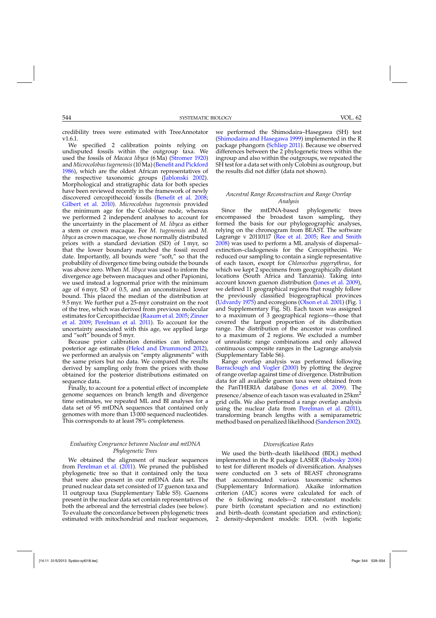credibility trees were estimated with TreeAnnotator v1.6.1.

We specified 2 calibration points relying on undisputed fossils within the outgroup taxa. We used the fossils of *Macaca libyca* (6 Ma) [\(Stromer 1920\)](#page-14-0) and *Microcolobus tugenensis*(10 Ma) [\(Benefit and Pickford](#page-12-0) [1986\)](#page-12-0), which are the oldest African representatives of the respective taxonomic groups [\(Jablonski 2002](#page-13-0)). Morphological and stratigraphic data for both species have been reviewed recently in the framework of newly discovered cercopithecoid fossils [\(Benefit et al. 2008;](#page-12-0) [Gilbert et al. 2010\)](#page-13-0). *Microcolobus tugenensis* provided the minimum age for the Colobinae node, whereas we performed 2 independent analyses to account for the uncertainty in the placement of *M. libyca* as either a stem or crown macaque. For *M. tugenensis* and *M. libyca* as crown macaque, we chose normally distributed priors with a standard deviation (SD) of 1 myr, so that the lower boundary matched the fossil record date. Importantly, all bounds were "soft," so that the probability of divergence time being outside the bounds was above zero. When *M. libyca* was used to inform the divergence age between macaques and other Papionini, we used instead a lognormal prior with the minimum age of 6 myr, SD of 0.5, and an unconstrained lower bound. This placed the median of the distribution at 9.5 myr. We further put a 25-myr constraint on the root of the tree, which was derived from previous molecular esti[mates for Cercopithecidae](#page-15-0) [\(Raaum et al. 2005](#page-14-0)[;](#page-15-0) Zinner et al. [2009](#page-15-0); [Perelman et al. 2011](#page-14-0)). To account for the uncertainty associated with this age, we applied large and "soft" bounds of 5 myr.

Because prior calibration densities can influence posterior age estimates [\(Heled and Drummond 2012](#page-13-0)), we performed an analysis on "empty alignments" with the same priors but no data. We compared the results derived by sampling only from the priors with those obtained for the posterior distributions estimated on sequence data.

Finally, to account for a potential effect of incomplete genome sequences on branch length and divergence time estimates, we repeated ML and BI analyses for a data set of 95 mtDNA sequences that contained only genomes with more than 13 000 sequenced nucleotides. This corresponds to at least 78% completeness.

# *Evaluating Congruence between Nuclear and mtDNA Phylogenetic Trees*

We obtained the alignment of nuclear sequences from [Perelman et al.](#page-14-0) [\(2011\)](#page-14-0). We pruned the published phylogenetic tree so that it contained only the taxa that were also present in our mtDNA data set. The pruned nuclear data set consisted of 17 guenon taxa and 11 outgroup taxa (Supplementary Table S5). Guenons present in the nuclear data set contain representatives of both the arboreal and the terrestrial clades (see below). To evaluate the concordance between phylogenetic trees estimated with mitochondrial and nuclear sequences,

we performed the Shimodaira–Hasegawa (SH) test [\(Shimodaira and Hasegawa 1999\)](#page-14-0) implemented in the R package phangorn [\(Schliep 2011\)](#page-14-0). Because we observed differences between the 2 phylogenetic trees within the ingroup and also within the outgroups, we repeated the SH test for a data set with only Colobini as outgroup, but the results did not differ (data not shown).

# *Ancestral Range Reconstruction and Range Overlap Analysis*

Since the mtDNA-based phylogenetic trees encompassed the broadest taxon sampling, they formed the basis for our phylogeographic analyses, relying on the chronogram from BEAST. The software Lagrange v 20110117 [\(Ree et al. 2005](#page-14-0); [Ree and Smith](#page-14-0) [2008\)](#page-14-0) was used to perform a ML analysis of dispersal– extinction–cladogenesis for the Cercopithecini. We reduced our sampling to contain a single representative of each taxon, except for *Chlorocebus pygerythrus*, for which we kept 2 specimens from geographically distant locations (South Africa and Tanzania). Taking into account known guenon distribution [\(Jones et al. 2009\)](#page-13-0), we defined 11 geographical regions that roughly follow the previously classified biogeographical provinces [\(Udvardy 1975\)](#page-15-0) and ecoregions [\(Olson et al. 2001](#page-14-0)) (Fig. [1](#page-1-0) and Supplementary Fig. SI). Each taxon was assigned to a maximum of 3 geographical regions—those that covered the largest proportion of its distribution range. The distribution of the ancestor was confined to a maximum of 2 regions. We excluded a number of unrealistic range combinations and only allowed continuous composite ranges in the Lagrange analysis (Supplementary Table S6).

Range overlap analysis was performed following [Barraclough and Vogler](#page-12-0) [\(2000\)](#page-12-0) by plotting the degree of range overlap against time of divergence. Distribution data for all available guenon taxa were obtained from the PanTHERIA database [\(Jones et al. 2009\)](#page-13-0). The presence/absence of each taxon was evaluated in  $25 \text{km}^2$ grid cells. We also performed a range overlap analysis using the nuclear data from [Perelman et al.](#page-14-0) [\(2011\)](#page-14-0), transforming branch lengths with a semiparametric method based on penalized likelihood [\(Sanderson 2002\)](#page-14-0).

### *Diversification Rates*

We used the birth–death likelihood (BDL) method implemented in the R package LASER [\(Rabosky 2006](#page-14-0)) to test for different models of diversification. Analyses were conducted on 3 sets of BEAST chronograms that accommodated various taxonomic schemes (Supplementary Information). Akaike information criterion (AIC) scores were calculated for each of the 6 following models—2 rate-constant models: pure birth (constant speciation and no extinction) and birth–death (constant speciation and extinction); 2 density-dependent models: DDL (with logistic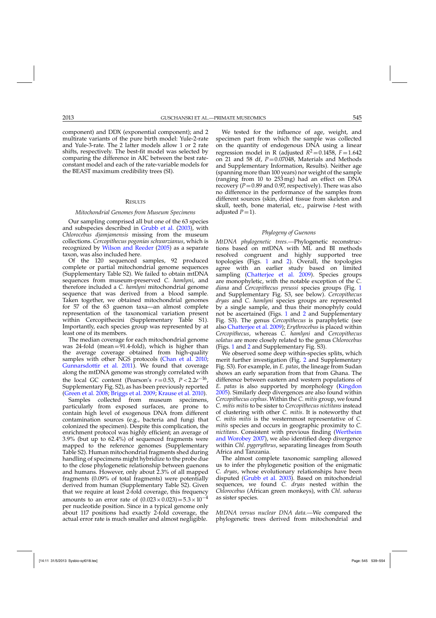component) and DDX (exponential component); and 2 multirate variants of the pure birth model: Yule-2-rate and Yule-3-rate. The 2 latter models allow 1 or 2 rate shifts, respectively. The best-fit model was selected by comparing the difference in AIC between the best rateconstant model and each of the rate-variable models for the BEAST maximum credibility trees (SI).

#### **RESULTS**

#### *Mitochondrial Genomes from Museum Specimens*

Our sampling comprised all but one of the 63 species and subspecies described in [Grubb et al.](#page-13-0) [\(2003](#page-13-0)), with *Chlorocebus djamjamensis* missing from the museum collections. *Cercopithecus pogonias schwarzianus*, which is recognized by [Wilson and Reeder](#page-15-0) [\(2005\)](#page-15-0) as a separate taxon, was also included here.

Of the 120 sequenced samples, 92 produced complete or partial mitochondrial genome sequences (Supplementary Table S2). We failed to obtain mtDNA sequences from museum-preserved *C. hamlyni*, and therefore included a *C. hamlyni* mitochondrial genome sequence that was derived from a blood sample. Taken together, we obtained mitochondrial genomes for 57 of the 63 guenon taxa—an almost complete representation of the taxonomical variation present within Cercopithecini (Supplementary Table S1). Importantly, each species group was represented by at least one of its members.

The median coverage for each mitochondrial genome was  $24$ -fold (mean= $91.4$ -fold), which is higher than the average coverage obtained from high-quality samples with other NGS protocols [\(Chan et al. 2010](#page-13-0); [Gunnarsdottir et al. 2011\)](#page-13-0). We found that coverage along the mtDNA genome was strongly correlated with the local GC content (Pearson's  $r=0.53$ ,  $P < 2.2e^{-16}$ , Supplementary Fig. S2), as has been previously reported [\(Green et al. 2008;](#page-13-0) [Briggs et al. 2009;](#page-13-0) [Krause et al. 2010](#page-14-0)).

Samples collected from museum specimens, particularly from exposed surfaces, are prone to contain high level of exogenous DNA from different contamination sources (e.g., bacteria and fungi that colonized the specimen). Despite this complication, the enrichment protocol was highly efficient; an average of 3.9% (but up to 62.4%) of sequenced fragments were mapped to the reference genomes (Supplementary Table S2). Human mitochondrial fragments shed during handling of specimens might hybridize to the probe due to the close phylogenetic relationship between guenons and humans. However, only about 2.3% of all mapped fragments (0.09% of total fragments) were potentially derived from human (Supplementary Table S2). Given that we require at least 2-fold coverage, this frequency amounts to an error rate of  $(0.023 \times 0.023) = 5.3 \times 10^{-4}$ per nucleotide position. Since in a typical genome only about 117 positions had exactly 2-fold coverage, the actual error rate is much smaller and almost negligible.

We tested for the influence of age, weight, and specimen part from which the sample was collected on the quantity of endogenous DNA using a linear regression model in R (adjusted  $R^2 = 0.1458$ ,  $F = 1.642$ on 21 and 58 df,  $P = 0.07048$ , Materials and Methods and Supplementary Information, Results). Neither age (spanning more than 100 years) nor weight of the sample (ranging from 10 to 253 mg) had an effect on DNA recovery  $(P=0.89$  and 0.97, respectively). There was also no difference in the performance of the samples from different sources (skin, dried tissue from skeleton and skull, teeth, bone material, etc., pairwise *t*-test with adjusted  $P=1$ ).

#### *Phylogeny of Guenons*

*MtDNA phylogenetic trees.—*Phylogenetic reconstructions based on mtDNA with ML and BI methods resolved congruent and highly supported tree topologies (Figs. [1](#page-1-0) and [2\)](#page-7-0). Overall, the topologies agree with an earlier study based on limited sampling [\(Chatterjee et al. 2009\)](#page-13-0). Species groups are monophyletic, with the notable exception of the *C. diana* and *Cercopithecus preussi* species groups (Fig. [1](#page-1-0) and Supplementary Fig. S3, see below). *Cercopithecus dryas* and *C. hamlyni* species groups are represented by a single sample, and thus their monophyly could not be ascertained (Figs. [1](#page-1-0) and [2](#page-7-0) and Supplementary Fig. S3). The genus *Cercopithecus* is paraphyletic (see also [Chatterjee et al. 2009](#page-13-0)); *Erythrocebus* is placed within *Cercopithecus*, whereas *C. hamlyni* and *Cercopithecus solatus* are more closely related to the genus *Chlorocebus* (Figs. [1](#page-1-0) and [2](#page-7-0) and Supplementary Fig. S3).

We observed some deep within-species splits, which merit further investigation (Fig. [2](#page-7-0) and Supplementary Fig. S3). For example, in *E. patas*, the lineage from Sudan shows an early separation from that from Ghana. The difference between eastern and western populations of *E. patas* is also supported by morphology [\(Kingdon](#page-14-0) [2005\)](#page-14-0). Similarly deep divergences are also found within *Cercopithecus cephus*. Within the *C. mitis* group, we found *C. mitis mitis* to be sister to *Cercopithecus nictitans* instead of clustering with other *C. mitis*. It is noteworthy that *C. mitis mitis* is the westernmost representative of *C. mitis* species and occurs in geographic proximity to *C. nictitans*. Co[nsistent with previous finding \(](#page-15-0)Wertheim and Worobey [2007\)](#page-15-0), we also identified deep divergence within *Chl. pygerythrus*, separating lineages from South Africa and Tanzania.

The almost complete taxonomic sampling allowed us to infer the phylogenetic position of the enigmatic *C. dryas*, whose evolutionary relationships have been disputed [\(Grubb et al. 2003\)](#page-13-0). Based on mitochondrial sequences, we found *C. dryas* nested within the *Chlorocebus* (African green monkeys), with *Chl. sabaeus* as sister species.

*MtDNA versus nuclear DNA data.—*We compared the phylogenetic trees derived from mitochondrial and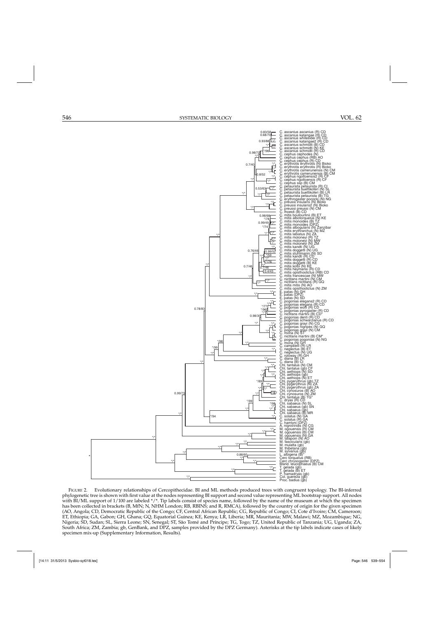<span id="page-7-0"></span>

FIGURE 2. Evolutionary relationships of Cercopithecidae. BI and ML methods produced trees with congruent topology. The BI-inferred phylogenetic tree is shown with first value at the nodes representing BI support and second value representing ML bootstrap support. All nodes with BI/ML support of 1/100 are labeled \*/\*. Tip labels consist of species name, followed by the name of the museum at which the specimen has been collected in brackets (B, MfN; N, NHM London; RB, RBINS; and R, RMCA), followed by the country of origin for the given specimen (AO, Angola; CD, Democratic Republic of the Congo; CF, Central African Republic; CG, Republic of Congo; CI, Cote d'Ivoire; CM, Cameroon; ET, Ethiopia; GA, Gabon; GH, Ghana; GQ, Equatorial Guinea; KE, Kenya; LR, Liberia; MR, Mauritania; MW, Malawi; MZ, Mozambique; NG, Nigeria; SD, Sudan; SL, Sierra Leone; SN, Senegal; ST, São Tomé and Príncipe; TG, Togo; TZ, United Republic of Tanzania; UG, Uganda; ZA, South Africa; ZM, Zambia; gb, GenBank, and DPZ, samples provided by the DPZ Germany). Asterisks at the tip labels indicate cases of likely specimen mix-up (Supplementary Information, Results).

\*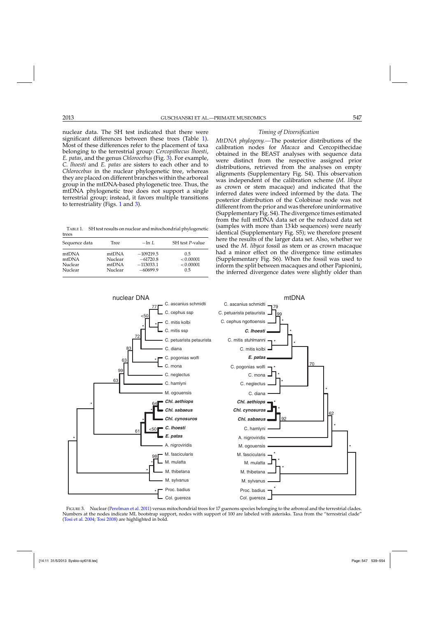<span id="page-8-0"></span>nuclear data. The SH test indicated that there were significant differences between these trees (Table 1). Most of these differences refer to the placement of taxa belonging to the terrestrial group: *Cercopithecus lhoesti*, *E. patas*, and the genus *Chlorocebus* (Fig. 3). For example, *C. lhoesti* and *E. patas* are sisters to each other and to *Chlorocebus* in the nuclear phylogenetic tree, whereas they are placed on different branches within the arboreal group in the mtDNA-based phylogenetic tree. Thus, the mtDNA phylogenetic tree does not support a single terrestrial group; instead, it favors multiple transitions to terrestriality (Figs. [1](#page-1-0) and 3).

TABLE 1. SH test results on nuclear and mitochondrial phylogenetic trees

| Sequence data | Tree    | $-\ln I$ .  | SH test P-value |
|---------------|---------|-------------|-----------------|
| mtDNA         | mtDNA   | $-109219.5$ | 0.5             |
| mtDNA         | Nuclear | $-61720.8$  | < 0.00001       |
| Nuclear       | mtDNA   | $-113033.1$ | < 0.00001       |
| Nuclear       | Nuclear | $-60699.9$  | 0.5             |





*MtDNA phylogeny.—*The posterior distributions of the calibration nodes for *Macaca* and Cercopithecidae obtained in the BEAST analyses with sequence data were distinct from the respective assigned prior distributions, retrieved from the analyses on empty alignments (Supplementary Fig. S4). This observation was independent of the calibration scheme (*M. libyca* as crown or stem macaque) and indicated that the inferred dates were indeed informed by the data. The posterior distribution of the Colobinae node was not different from the prior and was therefore uninformative (Supplementary Fig. S4). The divergence times estimated from the full mtDNA data set or the reduced data set (samples with more than 13 kb sequences) were nearly identical (Supplementary Fig. S5); we therefore present here the results of the larger data set. Also, whether we used the *M. libyca* fossil as stem or as crown macaque had a minor effect on the divergence time estimates (Supplementary Fig. S6). When the fossil was used to inform the split between macaques and other Papionini, the inferred divergence dates were slightly older than



FIGURE 3. Nuclear [\(Perelman et al. 2011\)](#page-14-0) versus mitochondrial trees for 17 guenons species belonging to the arboreal and the terrestrial clades. Numbers at the nodes indicate ML bootstrap support, nodes with support of 100 are labeled with asterisks. Taxa from the "terrestrial clade" [\(Tosi et al. 2004](#page-14-0); [Tosi 2008](#page-14-0)) are highlighted in bold.

Col. guereza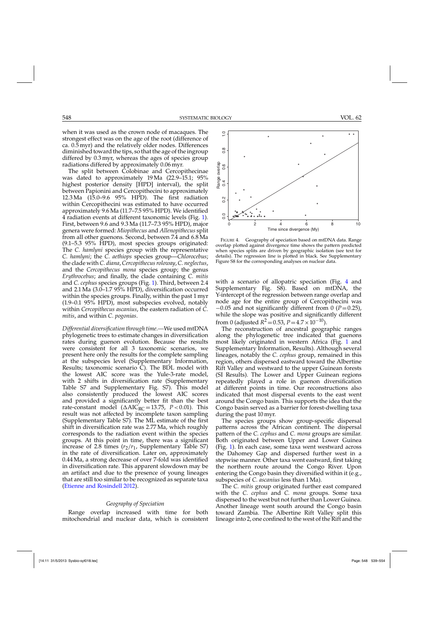when it was used as the crown node of macaques. The strongest effect was on the age of the root (difference of ca. 0.5 myr) and the relatively older nodes. Differences diminished toward the tips, so that the age of the ingroup differed by 0.3 myr, whereas the ages of species group radiations differed by approximately 0.06 myr.

The split between Colobinae and Cercopithecinae was dated to approximately 19 Ma (22.9–15.1; 95% highest posterior density [HPD] interval), the split between Papionini and Cercopithecini to approximately 12.3 Ma (15.0–9.6 95% HPD). The first radiation within Cercopithecini was estimated to have occurred approximately 9.6 Ma (11.7–7.5 95% HPD). We identified 4 radiation events at different taxonomic levels (Fig. [1\)](#page-1-0). First, between 9.6 and 9.3 Ma (11.7–7.3 95% HPD), major genera were formed: *Miopithecus* and *Allenopithecus* split from all other guenons. Second, between 7.4 and 6.8 Ma (9.1–5.3 95% HPD), most species groups originated: The *C. hamlyni* species group with the representative *C. hamlyni*; the *C. aethiops* species group—*Chlorocebus*; the clade with *C. diana*, *Cercopithecus roloway*, *C. neglectus*, and the *Cercopithecus mona* species group; the genus *Erythrocebus*; and finally, the clade containing *C. mitis* and *C. cephus* species groups (Fig. [1\)](#page-1-0). Third, between 2.4 and 2.1 Ma (3.0–1.7 95% HPD), diversification occurred within the species groups. Finally, within the past 1 myr (1.9–0.1 95% HPD), most subspecies evolved, notably within *Cercopithecus ascanius*, the eastern radiation of *C. mitis*, and within *C. pogonias*.

*Differential diversification through time.—*We used mtDNA phylogenetic trees to estimate changes in diversification rates during guenon evolution. Because the results were consistent for all 3 taxonomic scenarios, we present here only the results for the complete sampling at the subspecies level (Supplementary Information, Results; taxonomic scenario C). The BDL model with the lowest AIC score was the Yule-3-rate model, with 2 shifts in diversification rate (Supplementary Table S7 and Supplementary Fig. S7). This model also consistently produced the lowest AIC scores and provided a significantly better fit than the best rate-constant model ( $\triangle AIC_{RC} = 13.75$ ,  $P < 0.01$ ). This result was not affected by incomplete taxon sampling (Supplementary Table S7). The ML estimate of the first shift in diversification rate was 2.77 Ma, which roughly corresponds to the radiation event within the species groups. At this point in time, there was a significant increase of 2.8 times  $(r_2/r_1)$ , Supplementary Table S7) in the rate of diversification. Later on, approximately 0.44 Ma, a strong decrease of over 7-fold was identified in diversification rate. This apparent slowdown may be an artifact and due to the presence of young lineages that are still too similar to be recognized as separate taxa [\(Etienne and Rosindell 2012](#page-13-0)).

# *Geography of Speciation*

Range overlap increased with time for both mitochondrial and nuclear data, which is consistent



FIGURE 4. Geography of speciation based on mtDNA data. Range overlap plotted against divergence time shows the pattern predicted when species splits are driven by geographic isolation (see text for details). The regression line is plotted in black. See Supplementary Figure S8 for the corresponding analyses on nuclear data.

with a scenario of allopatric speciation (Fig. 4 and Supplementary Fig. S8). Based on mtDNA, the Y-intercept of the regression between range overlap and node age for the entire group of Cercopithecini was −0.05 and not significantly different from 0 (*P*=0.25), while the slope was positive and significantly different from 0 (adjusted  $R^2 = 0.53$ ,  $P = 4.7 \times 10^{-10}$ ).

The reconstruction of ancestral geographic ranges along the phylogenetic tree indicated that guenons most likely originated in western Africa (Fig. [1](#page-1-0) and Supplementary Information, Results). Although several lineages, notably the *C. cephus* group, remained in this region, others dispersed eastward toward the Albertine Rift Valley and westward to the upper Guinean forests (SI Results). The Lower and Upper Guinean regions repeatedly played a role in guenon diversification at different points in time. Our reconstructions also indicated that most dispersal events to the east went around the Congo basin. This supports the idea that the Congo basin served as a barrier for forest-dwelling taxa during the past 10 myr.

The species groups show group-specific dispersal patterns across the African continent. The dispersal pattern of the *C. cephus* and *C. mona* groups are similar. Both originated between Upper and Lower Guinea (Fig. [1\)](#page-1-0). In each case, some taxa went westward across the Dahomey Gap and dispersed further west in a stepwise manner. Other taxa went eastward, first taking the northern route around the Congo River. Upon entering the Congo basin they diversified within it (e.g., subspecies of *C. ascanius* less than 1 Ma).

The *C. mitis* group originated further east compared with the *C. cephus* and *C. mona* groups. Some taxa dispersed to the west but not further than Lower Guinea. Another lineage went south around the Congo basin toward Zambia. The Albertine Rift Valley split this lineage into 2, one confined to the west of the Rift and the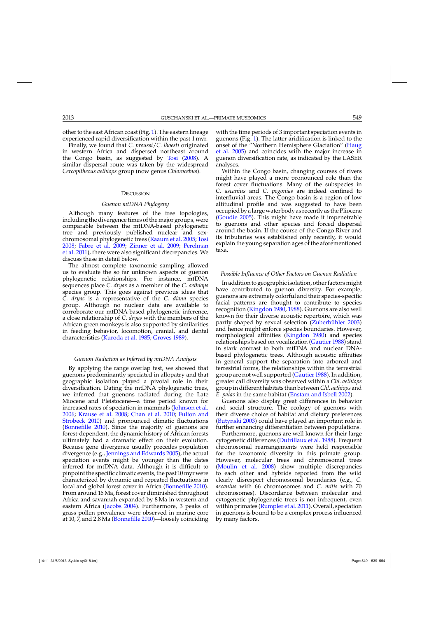other to the east African coast (Fig. [1\)](#page-1-0). The eastern lineage experienced rapid diversification within the past 1 myr.

Finally, we found that *C. preussi*/*C. lhoesti* originated in western Africa and dispersed northeast around the Congo basin, as suggested by [Tosi](#page-14-0) [\(2008\)](#page-14-0). A similar dispersal route was taken by the widespread *Cercopithecus aethiops* group (now genus *Chlorocebus*).

# **DISCUSSION**

#### *Guenon mtDNA Phylogeny*

Although many features of the tree topologies, including the divergence times of the major groups, were comparable between the mtDNA-based phylogenetic tree and previously published nuclear and sexchromosomal phylogenetic trees [\(Raaum et al. 2005](#page-14-0); [Tosi](#page-14-0) [2008;](#page-14-0) [Fabre et al. 2009](#page-13-0); [Zinner et al. 2009](#page-15-0)[;](#page-14-0) Perelman et al. [2011](#page-14-0)), there were also significant discrepancies. We discuss these in detail below.

The almost complete taxonomic sampling allowed us to evaluate the so far unknown aspects of guenon phylogenetic relationships. For instance, mtDNA sequences place *C. dryas* as a member of the *C. aethiops* species group. This goes against previous ideas that *C. dryas* is a representative of the *C. diana* species group. Although no nuclear data are available to corroborate our mtDNA-based phylogenetic inference, a close relationship of *C. dryas* with the members of the African green monkeys is also supported by similarities in feeding behavior, locomotion, cranial, and dental characteristics [\(Kuroda et al. 1985](#page-14-0); [Groves 1989\)](#page-13-0).

#### *Guenon Radiation as Inferred by mtDNA Analysis*

By applying the range overlap test, we showed that guenons predominantly speciated in allopatry and that geographic isolation played a pivotal role in their diversification. Dating the mtDNA phylogenetic trees, we inferred that guenons radiated during the Late Miocene and Pleistocene—a time period known for increased rates of speciation in mammals [\(Johnson et al.](#page-13-0) [2006;](#page-13-0) [Krause et al. 2008;](#page-14-0) [Chan et al. 2010;](#page-13-0) Fulton and Strobeck [2010\)](#page-13-0) and pronounced climatic fluctuations [\(Bonnefille 2010\)](#page-12-0). Since the majority of guenons are forest-dependent, the dynamic history of African forests ultimately had a dramatic effect on their evolution. Because gene divergence usually precedes population divergence (e.g., [Jennings and Edwards 2005](#page-13-0)), the actual speciation events might be younger than the dates inferred for mtDNA data. Although it is difficult to pinpoint the specific climatic events, the past 10 myr were characterized by dynamic and repeated fluctuations in local and global forest cover in Africa [\(Bonnefille 2010\)](#page-12-0). From around 16 Ma, forest cover diminished throughout Africa and savannah expanded by 8 Ma in western and eastern Africa [\(Jacobs 2004\)](#page-13-0). Furthermore, 3 peaks of grass pollen prevalence were observed in marine core at 10, 7, and 2.8 Ma [\(Bonnefille 2010\)](#page-12-0)—loosely coinciding

with the time periods of 3 important speciation events in guenons (Fig. [1\)](#page-1-0). The latter aridification is linked to the onse[t of the "Northern Hemisphere Glaciation" \(](#page-13-0)Haug et al. [2005](#page-13-0)) and coincides with the major increase in guenon diversification rate, as indicated by the LASER analyses.

Within the Congo basin, changing courses of rivers might have played a more pronounced role than the forest cover fluctuations. Many of the subspecies in *C. ascanius* and *C. pogonias* are indeed confined to interfluvial areas. The Congo basin is a region of low altitudinal profile and was suggested to have been occupied by alarge water body as recently as the Pliocene [\(Goudie 2005](#page-13-0)). This might have made it impenetrable to guenons and other species and forced dispersal around the basin. If the course of the Congo River and its tributaries was established only recently, it would explain the young separation ages of the aforementioned taxa.

# *Possible Influence of Other Factors on Guenon Radiation*

In addition to geographic isolation, other factors might have contributed to guenon diversity. For example, guenons are extremely colorful and their species-specific facial patterns are thought to contribute to species recognition [\(Kingdon 1980](#page-14-0), [1988](#page-13-0)). Guenons are also well known for their diverse acoustic repertoire, which was partly shaped by sexual selection [\(Zuberbühler 2003\)](#page-15-0) and hence might enforce species boundaries. However, morphological affinities [\(Kingdon 1980](#page-14-0)) and species relationships based on vocalization [\(Gautier 1988](#page-13-0)) stand in stark contrast to both mtDNA and nuclear DNAbased phylogenetic trees. Although acoustic affinities in general support the separation into arboreal and terrestrial forms, the relationships within the terrestrial group are not well supported [\(Gautier 1988\)](#page-13-0). In addition, greater call diversity was observed within a *Chl. aethiops* group in different habitats than between *Chl. aethiops* and *E. patas* in the same habitat [\(Enstam and Isbell 2002\)](#page-13-0).

Guenons also display great differences in behavior and social structure. The ecology of guenons with their diverse choice of habitat and dietary preferences [\(Butynski 2003](#page-13-0)) could have played an important role in further enhancing differentiation between populations.

Furthermore, guenons are well known for their large cytogenetic differences [\(Dutrillaux et al. 1988](#page-13-0)). Frequent chromosomal rearrangements were held responsible for the taxonomic diversity in this primate group. However, molecular trees and chromosomal trees [\(Moulin et al. 2008](#page-14-0)) show multiple discrepancies to each other and hybrids reported from the wild clearly disrespect chromosomal boundaries (e.g., *C. ascanius* with 66 chromosomes and *C. mitis* with 70 chromosomes). Discordance between molecular and cytogenetic phylogenetic trees is not infrequent, even within primates [\(Rumpler et al. 2011](#page-14-0)). Overall, speciation in guenons is bound to be a complex process influenced by many factors.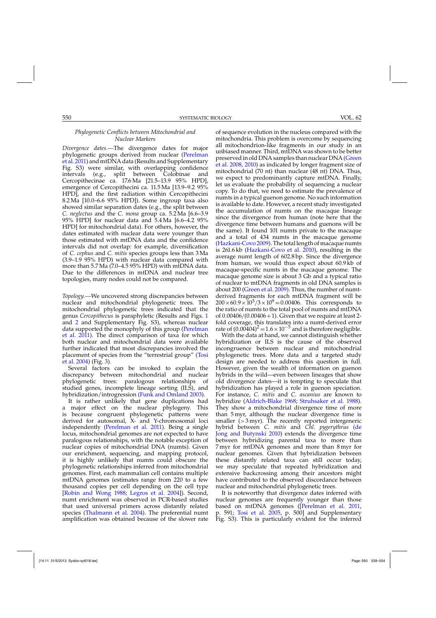# *Phylogenetic Conflicts between Mitochondrial and Nuclear Markers*

*Divergence dates.—*The divergence dates for major phy[logenetic groups derived from nuclear \(](#page-14-0)Perelman et al. [2011\)](#page-14-0) and mtDNA data (Results and Supplementary Fig. S3) were similar, with overlapping confidence intervals (e.g., split between Colobinae and Cercopithecinae ca. 17.6 Ma [21.5–13.9 95% HPD], emergence of Cercopithecini ca. 11.5 Ma [13.9–9.2 95% HPD], and the first radiation within Cercopithecini 8.2 Ma [10.0–6.6 95% HPD]). Some ingroup taxa also showed similar separation dates (e.g., the split between *C. neglectus* and the *C. mona* group ca. 5.2 Ma [6.6–3.9 95% HPD] for nuclear data and 5.4 Ma [6.6–4.2 95% HPD] for mitochondrial data). For others, however, the dates estimated with nuclear data were younger than those estimated with mtDNA data and the confidence intervals did not overlap: for example, diversification of *C. cephus* and *C. mitis* species groups less than 3 Ma (3.9–1.9 95% HPD) with nuclear data compared with more than 5.7 Ma (7.0–4.5 95% HPD) with mtDNA data. Due to the differences in mtDNA and nuclear tree topologies, many nodes could not be compared.

*Topology.—*We uncovered strong discrepancies between nuclear and mitochondrial phylogenetic trees. The mitochondrial phylogenetic trees indicated that the genus *Cercopithecus* is paraphyletic (Results and Figs. [1](#page-1-0) and [2](#page-7-0) and Supplementary Fig. S3), whereas nuclear data [supported the monophyly of this group \(](#page-14-0)Perelman et al. [2011\)](#page-14-0). The direct comparison of taxa for which both nuclear and mitochondrial data were available further indicated that most discrepancies involved the plac[ement of species from the "terrestrial group" \(](#page-14-0)Tosi et al. [2004\)](#page-14-0) (Fig. [3\)](#page-8-0).

Several factors can be invoked to explain the discrepancy between mitochondrial and nuclear phylogenetic trees: paralogous relationships of studied genes, incomplete lineage sorting (ILS), and hybridization/introgression [\(Funk and Omland 2003](#page-13-0)).

It is rather unlikely that gene duplications had a major effect on the nuclear phylogeny. This is because congruent phylogenetic patterns were derived for autosomal, X- and Y-chromosomal loci independently [\(Perelman et al. 2011\)](#page-14-0). Being a single locus, mitochondrial genomes are not expected to have paralogous relationships, with the notable exception of nuclear copies of mitochondrial DNA (numts). Given our enrichment, sequencing, and mapping protocol, it is highly unlikely that numts could obscure the phylogenetic relationships inferred from mitochondrial genomes. First, each mammalian cell contains multiple mtDNA genomes (estimates range from 220 to a few thousand copies per cell depending on the cell type [\[Robin and Wong 1988](#page-14-0); [Legros et al. 2004](#page-14-0)]). Second, numt enrichment was observed in PCR-based studies that used universal primers across distantly related species [\(Thalmann et al. 2004\)](#page-14-0). The preferential numt amplification was obtained because of the slower rate

of sequence evolution in the nucleus compared with the mitochondria. This problem is overcome by sequencing all mitochondrion-like fragments in our study in an unbiased manner. Third, mtDNA was shown to be better pres[erved in old DNA samples than nuclear DNA \(](#page-13-0)Green et al. [2008](#page-13-0), [2010](#page-13-0)) as indicated by longer fragment size of mitochondrial (70 nt) than nuclear (48 nt) DNA. Thus, we expect to predominantly capture mtDNA. Finally, let us evaluate the probability of sequencing a nuclear copy. To do that, we need to estimate the prevalence of numts in a typical guenon genome. No such information is available to date. However, a recent study investigated the accumulation of numts on the macaque lineage since the divergence from human (note here that the divergence time between humans and guenons will be the same). It found 101 numts private to the macaque and a total of 434 numts in the macaque genome [\(Hazkani-Covo 2009](#page-13-0)). The total length of macaque numts is 261.6 kb [\(Hazkani-Covo et al. 2010](#page-13-0)), resulting in the average numt length of 602.8 bp. Since the divergence from human, we would thus expect about 60.9 kb of macaque-specific numts in the macaque genome. The macaque genome size is about 3 Gb and a typical ratio of nuclear to mtDNA fragments in old DNA samples is about 200 [\(Green et al. 2009](#page-13-0)). Thus, the number of numtderived fragments for each mtDNA fragment will be  $200 \times 60.9 \times 10^{3} / 3 \times 10^{9} = 0.00406$ . This corresponds to the ratio of numts to the total pool of numts and mtDNA of  $0.00406/(0.00406+1)$ . Given that we require at least 2fold coverage, this translates into a numt-derived error rate of  $(0.00404)^2$  =  $1.6 \times 10^{-5}$  and is therefore negligible.

With the data at hand, we cannot distinguish whether hybridization or ILS is the cause of the observed incongruence between nuclear and mitochondrial phylogenetic trees. More data and a targeted study design are needed to address this question in full. However, given the wealth of information on guenon hybrids in the wild—even between lineages that show old divergence dates—it is tempting to speculate that hybridization has played a role in guenon speciation. For instance, *C. mitis* and *C. ascanius* are known to hybridize [\(Aldrich-Blake 1968](#page-12-0); [Struhsaker et al. 1988\)](#page-14-0). They show a mitochondrial divergence time of more than 5 myr, although the nuclear divergence time is smaller  $(>3$  myr). The recently reported intergeneric hybrid between *C. mitis* and *[Chl. pygerythrus](#page-13-0)* (de Jong and Butynski [2010\)](#page-13-0) extends the divergence time between hybridizing parental taxa to more than 7 myr for mtDNA genomes and more than 8 myr for nuclear genomes. Given that hybridization between these distantly related taxa can still occur today, we may speculate that repeated hybridization and extensive backcrossing among their ancestors might have contributed to the observed discordance between nuclear and mitochondrial phylogenetic trees.

It is noteworthy that divergence dates inferred with nuclear genomes are frequently younger than those based on mtDNA genomes ([\[Perelman et al. 2011](#page-14-0), p. 591; [Tosi et al. 2005,](#page-14-0) p. 500] and Supplementary Fig. S3). This is particularly evident for the inferred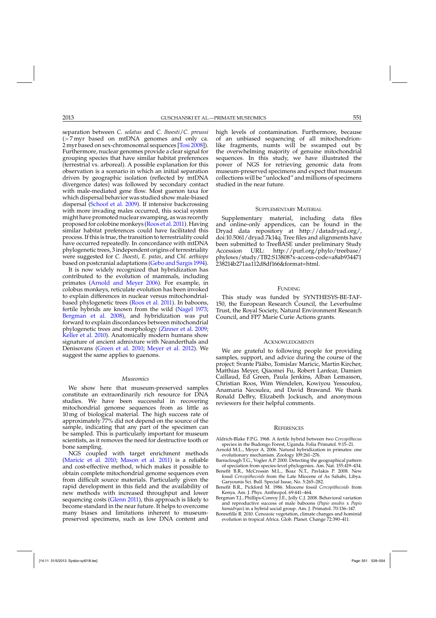<span id="page-12-0"></span>separation between *C. solatus* and *C. lhoesti*/*C. preussi* (>7 myr based on mtDNA genomes and only ca. 2 myr based on sex-chromosomal sequences [\[Tosi 2008](#page-14-0)]). Furthermore, nuclear genomes provide a clear signal for grouping species that have similar habitat preferences (terrestrial vs. arboreal). A possible explanation for this observation is a scenario in which an initial separation driven by geographic isolation (reflected by mtDNA divergence dates) was followed by secondary contact with male-mediated gene flow. Most guenon taxa for which dispersal behavior was studied show male-biased dispersal [\(Schoof et al. 2009\)](#page-14-0). If intensive backcrossing with more invading males occurred, this social system might have promoted nuclear swamping, as was recently proposed for colobine monkeys [\(Roos et al. 2011](#page-14-0)). Having similar habitat preferences could have facilitated this process. If this is true, the transition to terrestriality could have occurred repeatedly. In concordance with mtDNA phylogenetic trees, 3 independent origins of terrestriality were suggested for *C. lhoesti*, *E. patas*, and *Chl. aethiops* based on postcranial adaptations [\(Gebo and Sargis 1994\)](#page-13-0).

It is now widely recognized that hybridization has contributed to the evolution of mammals, including primates (Arnold and Meyer 2006). For example, in colobus monkeys, reticulate evolution has been invoked to explain differences in nuclear versus mitochondrialbased phylogenetic trees [\(Roos et al. 2011](#page-14-0)). In baboons, fertile hybrids are known from the wild [\(Nagel 1973](#page-14-0); Bergman et al. 2008), and hybridization was put forward to explain discordances between mitochondrial phylogenetic trees and morphology [\(Zinner et al. 2009](#page-15-0); [Keller et al. 2010](#page-13-0)). Anatomically modern humans show signature of ancient admixture with Neanderthals and Denisovans [\(Green et al. 2010;](#page-13-0) [Meyer et al. 2012\)](#page-14-0). We suggest the same applies to guenons.

# *Museomics*

We show here that museum-preserved samples constitute an extraordinarily rich resource for DNA studies. We have been successful in recovering mitochondrial genome sequences from as little as 10 mg of biological material. The high success rate of approximately 77% did not depend on the source of the sample, indicating that any part of the specimen can be sampled. This is particularly important for museum scientists, as it removes the need for destructive tooth or bone sampling.

NGS coupled with target enrichment methods [\(Maricic et al. 2010](#page-14-0); [Mason et al. 2011\)](#page-14-0) is a reliable and cost-effective method, which makes it possible to obtain complete mitochondrial genome sequences even from difficult source materials. Particularly given the rapid development in this field and the availability of new methods with increased throughput and lower sequencing costs [\(Glenn 2011](#page-13-0)), this approach is likely to become standard in the near future. It helps to overcome many biases and limitations inherent to museumpreserved specimens, such as low DNA content and

high levels of contamination. Furthermore, because of an unbiased sequencing of all mitochondrionlike fragments, numts will be swamped out by the overwhelming majority of genuine mitochondrial sequences. In this study, we have illustrated the power of NGS for retrieving genomic data from museum-preserved specimens and expect that museum collections will be "unlocked" and millions of specimens studied in the near future.

### SUPPLEMENTARY MATERIAL

Supplementary material, including data files and online-only appendices, can be found in the Dryad data repository at [http://datadryad.org/,](http://datadryad.org/) doi:10.5061/dryad.7k14q. Tree files and alignments have been submitted to TreeBASE under preliminary Study<br>Accession URL: http://purl.org/phylo/treebase/ Accession URL: [http://purl.org/phylo/treebase/](http://purl.org/phylo/treebase/phylows/study/TB2:S13808?x-access-code=a8ab934471238214b271aa112d8df166&format=html) [phylows/study/TB2:S13808?x-access-code=a8ab934471](http://purl.org/phylo/treebase/phylows/study/TB2:S13808?x-access-code=a8ab934471238214b271aa112d8df166&format=html) [238214b271aa112d8df166&format=html.](http://purl.org/phylo/treebase/phylows/study/TB2:S13808?x-access-code=a8ab934471238214b271aa112d8df166&format=html)

# **FUNDING**

This study was funded by SYNTHESYS-BE-TAF-150, the European Research Council, the Leverhulme Trust, the Royal Society, Natural Environment Research Council, and FP7 Marie Curie Actions grants.

#### **ACKNOWLEDGMENTS**

We are grateful to following people for providing samples, support, and advice during the course of the project: Svante Pääbo, Tomislav Maricic, Martin Kircher, Matthias Meyer, Qiaomei Fu, Robert Lanfear, Damien Caillaud, Ed Green, Paula Jenkins, Alban Lemasson, Christian Roos, Wim Wendelen, Kowiyou Yessoufou, Anamaria Necsulea, and David Brawand. We thank Ronald DeBry, Elizabeth Jockusch, and anonymous reviewers for their helpful comments.

#### **REFERENCES**

- Aldrich-Blake F.P.G. 1968. A fertile hybrid between two *Cercopithecus* species in the Budongo Forest, Uganda. Folia Primatol. 9:15–21.
- Arnold M.L., Meyer A. 2006. Natural hybridization in primates: one evolutionary mechanism. Zoology 109:261–276.
- Barraclough T.G., Vogler A.P. 2000. Detecting the geographical pattern of speciation from species-level phylogenies. Am. Nat. 155:419–434.
- Benefit B.R., McCrossin M.L., Boaz N.T., Pavlakis P. 2008. New fossil *Cercopithecoids* from the Late Miocene of As Sahabi, Libya. Garyounis Sci. Bull. Special Issue, No. 5:265–282.
- Benefit B.R., Pickford M. 1986. Miocene fossil *Cercopithecoids* from Kenya. Am. J. Phys. Anthropol. 69:441–464.
- Bergman T.J., Phillips-Conroy J.E., Jolly C.J. 2008. Behavioral variation and reproductive success of male baboons (*Papio anubis* x *Papio hamadryas*) in a hybrid social group. Am. J. Primatol. 70:136–147.
- Bonnefille R. 2010. Cenozoic vegetation, climate changes and hominid evolution in tropical Africa. Glob. Planet. Change 72:390–411.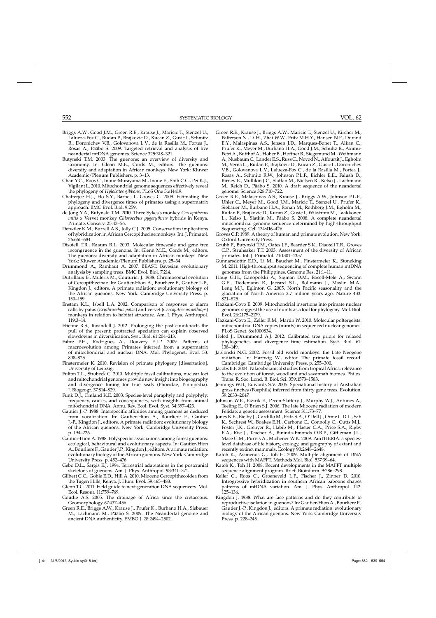- <span id="page-13-0"></span>Briggs A.W., Good J.M., Green R.E., Krause J., Maricic T., Stenzel U., Lalueza-Fox C., Rudan P., Brajkovic D., Kucan Z., Gusic I., Schmitz R., Doronichev V.B., Golovanova L.V., de la Rasilla M., Fortea J., Rosas A., Pääbo S. 2009. Targeted retrieval and analysis of five neandertal mtDNA genomes. Science 325:318–321.
- Butynski T.M. 2003. The guenons: an overview of diversity and taxonomy. In: Glenn M.E., Cords M., editors. The guenons: diversity and adaptation in African monkeys. New York: Kluwer Academic/Plenum Publishers. p. 3–13.
- Chan Y.C., Roos C., Inoue-Murayama M., Inoue E., Shih C.C., Pei K.J., Vigilant L. 2010. Mitochondrial genome sequences effectively reveal the phylogeny of *Hylobates gibbons*. PLoS One 5:e14419.
- Chatterjee H.J., Ho S.Y., Barnes I., Groves C. 2009. Estimating the phylogeny and divergence times of primates using a supermatrix approach. BMC Evol. Biol. 9:259.
- de Jong Y.A., Butynski T.M. 2010. Three Sykes's monkey *Cercopithecus mitis* x Vervet monkey *Chlorocebus pygerythrus* hybrids in Kenya. Primate. Conserv. 25:43–56.
- Detwiler K.M., Burrell A.S., Jolly C.J. 2005. Conservation implications of hybridization in African Cercopithecine monkeys. Int. J. Primatol. 26:661–684.
- Disotell T.R., Raaum R.L. 2003. Molecular timescale and gene tree incongruence in the guenons. In: Glenn M.E., Cords M., editors. The guenons: diversity and adaptation in African monkeys. New York: Kluwer Academic/Plenum Publishers. p. 25–34.
- Drummond A., Rambaut A. 2007. BEAST: Bayesian evolutionary analysis by sampling trees. BMC Evol. Biol. 7:214.
- Dutrillaux B., Muleris M., Couturier J. 1988. Chromosomal evolution of Cercopithecinae. In: Gautier-Hion A., Bourliere F., Gautier J.-P., Kingdon J., editors. A primate radiation: evolutionary biology of the African guenons. New York: Cambridge University Press. p. 150–159.
- Enstam K.L., Isbell L.A. 2002. Comparison of responses to alarm calls by patas (*Erythrocebus patas*) and vervet (*Cercopithecus aethiops*) monkeys in relation to habitat structure. Am. J. Phys. Anthropol. 119:3–14.
- Etienne R.S., Rosindell J. 2012. Prolonging the past counteracts the pull of the present: protracted speciation can explain observed slowdowns in diversification. Syst. Biol. 61:204–213.
- Fabre P.H., Rodrigues A., Douzery E.J.P. 2009. Patterns of macroevolution among Primates inferred from a supermatrix of mitochondrial and nuclear DNA. Mol. Phylogenet. Evol. 53: 808–825.
- Finstermeier K. 2010. Revision of primate phylogeny [dissertation]. University of Leipzig.
- Fulton T.L., Strobeck C. 2010. Multiple fossil calibrations, nuclear loci and mitochondrial genomes provide new insight into biogeography and divergence timing for true seals (Phocidae, Pinnipedia). J. Biogeogr. 37:814–829.
- Funk D.J., Omland K.E. 2003. Species-level paraphyly and polyphyly: frequency, causes, and consequences, with insights from animal mitochondrial DNA. Annu. Rev. Ecol. Evol. Syst. 34:397–423.
- Gautier J.-P. 1988. Interspecific affinities among guenons as deduced from vocalization. In: Gautier-Hion A., Bourliere F., Gautier J.-P., Kingdon J., editors. A primate radiation: evolutionary biology of the African guenons. New York: Cambridge University Press. p. 194–226.
- Gautier-Hion A. 1988. Polyspecific associations among forest guenons: ecological, behavioural and evolutionary aspects. In: Gautier-Hion A., Bourliere F., Gautier J.P., Kingdon J., editors. A primate radiation: evolutionary biology of the African guenons. New York: Cambridge University Press. p. 452–476.
- Gebo D.L., Sargis E.J. 1994. Terrestrial adaptations in the postcranial skeletons of guenons. Am. J. Phys. Anthropol. 93:341–371.
- Gilbert C.C., Goble E.D., Hill A. 2010. Miocene Cercopithecoidea from the Tugen Hills, Kenya. J. Hum. Evol. 59:465–483.
- Glenn T.C. 2011. Field guide to next-generation DNA sequencers. Mol. Ecol. Resour. 11:759–769.
- Goudie A.S. 2005. The drainage of Africa since the cretaceous. Geomorphology 67:437–456.
- Green R.E., Briggs A.W., Krause J., Prufer K., Burbano H.A., Siebauer M., Lachmann M., Pääbo S. 2009. The Neandertal genome and ancient DNA authenticity. EMBO J. 28:2494–2502.
- Green R.E., Krause J., Briggs A.W., Maricic T., Stenzel U., Kircher M., Patterson N., Li H., Zhai W.W., Fritz M.H.Y., Hansen N.F., Durand E.Y., Malaspinas A.S., Jensen J.D., Marques-Bonet T., Alkan C., Prufer K., Meyer M., Burbano H.A., Good J.M., Schultz R., Aximu-Petri A., Butthof A., Hober B., Hoffner B., Siegemund M.,Weihmann A., Nusbaum C., Lander E.S., Russ C., Novod N., Affourtit J., Egholm M., Verna C., Rudan P., Brajkovic D., Kucan Z., Gusic I., Doronichev V.B., Golovanova L.V., Lalueza-Fox C., de la Rasilla M., Fortea J., Rosas A., Schmitz R.W., Johnson P.L.F., Eichler E.E., Falush D., Birney E., Mullikin J.C., Slatkin M., Nielsen R., Kelso J., Lachmann M., Reich D., Pääbo S. 2010. A draft sequence of the neandertal genome. Science 328:710–722.
- Green R.E., Malaspinas A.S., Krause J., Briggs A.W., Johnson P.L.F., Uhler C., Meyer M., Good J.M., Maricic T., Stenzel U., Prufer K., Siebauer M., Burbano H.A., Ronan M., Rothberg J.M., Egholm M., Rudan P., Brajkovic D., Kucan Z., Gusic I., Wikstrom M., Laakkonen L., Kelso J., Slatkin M., Pääbo S. 2008. A complete neandertal mitochondrial genome sequence determined by high-throughput Sequencing. Cell 134:416–426.
- Groves C.P. 1989. A theory of human and primate evolution. New York: Oxford University Press.
- Grubb P., Butynski T.M., Oates J.F., Bearder S.K., Disotell T.R., Groves C.P., Struhsaker T.T. 2003. Assessment of the diversity of African primates. Int. J. Primatol. 24:1301–1357.
- Gunnarsdottir E.D., Li M., Bauchet M., Finstermeier K., Stoneking M. 2011. High-throughput sequencing of complete human mtDNA genomes from the Philippines. Genome Res. 21:1–11.
- Haug G.H., Ganopolski A., Sigman D.M., Rosell-Mele A., Swann G.E., Tiedemann R., Jaccard S.L., Bollmann J., Maslin M.A., Leng M.J., Eglinton G. 2005. North Pacific seasonality and the glaciation of North America 2.7 million years ago. Nature 433: 821–825.
- Hazkani-Covo E. 2009. Mitochondrial insertions into primate nuclear genomes suggest the use of numts as a tool for phylogeny. Mol. Biol. Evol. 26:2175–2179.
- Hazkani-Covo E., Zeller R.M., Martin W. 2010. Molecular poltergeists: mitochondrial DNA copies (numts) in sequenced nuclear genomes. PLoS Genet. 6:e1000834.
- Heled J., Drummond A.J. 2012. Calibrated tree priors for relaxed phylogenetics and divergence time estimation. Syst. Biol. 61: 138–149.
- Jablonski N.G. 2002. Fossil old world monkeys: the Late Neogene radiation. In: Hartwig W., editor. The primate fossil record. Cambridge: Cambridge University Press. p. 255–300.
- Jacobs B.F. 2004. Palaeobotanical studies from tropical Africa: relevance to the evolution of forest, woodland and savannah biomes. Philos. Trans. R. Soc. Lond. B. Biol. Sci. 359:1573–1583.
- Jennings W.B., Edwards S.V. 2005. Speciational history of Australian grass finches (Poephila) inferred from thirty gene trees. Evolution. 59:2033–2047.
- Johnson W.E., Eizirik E., Pecon-Slattery J., Murphy W.J., Antunes A., Teeling E., O'Brien S.J. 2006. The late Miocene radiation of modern Felidae: a genetic assessment. Science 311:73–77.
- Jones K.E., Bielby J., Cardillo M., Fritz S.A., O'Dell J., Orme C.D.L., Safi K., Sechrest W., Boakes E.H., Carbone C., Connolly C., Cutts M.J., Foster J.K., Grenyer R., Habib M., Plaster C.A., Price S.A., Rigby E.A., Rist J., Teacher A., Bininda-Emonds O.R.P., Gittleman J.L., Mace G.M., Purvis A., Michener W.K. 2009. PanTHERIA: a specieslevel database of life history, ecology, and geography of extant and recently extinct mammals. Ecology 90:2648–2648.
- Katoh K., Asimenos G., Toh H. 2009. Multiple alignment of DNA sequences with MAFFT. Methods Mol. Biol. 537:39–64.
- Katoh K., Toh H. 2008. Recent developments in the MAFFT multiple sequence alignment program. Brief. Bioinform. 9:286–298.
- Keller C., Roos C., Groeneveld L.F., Fischer J., Zinner D. 2010. Introgressive hybridization in southern African baboons shapes patterns of mtDNA variation. Am. J. Phys. Anthropol. 142: 125–136.
- Kingdon J. 1988. What are face patterns and do they contribute to reproductive isolation in guenons? In: Gautier-Hion A., Bourliere F., Gautier J.-P., Kingdon J., editors. A primate radiation: evolutionary biology of the African guenons. New York: Cambridge University Press. p. 228–245.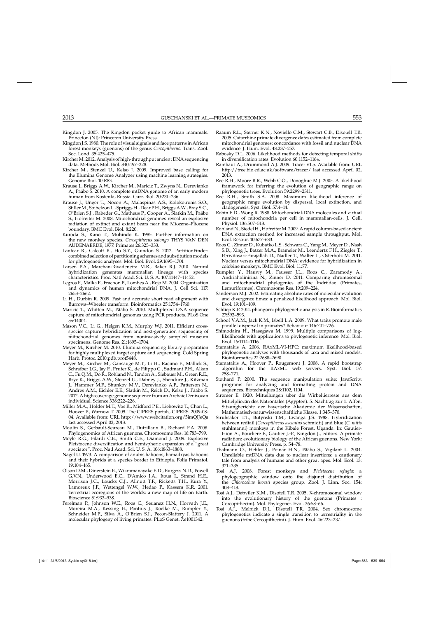- <span id="page-14-0"></span>Kingdon J. 2005. The Kingdon pocket guide to African mammals. Princeton (NJ): Princeton University Press.
- Kingdon J.S. 1980. The role of visual signals and face patterns in African forest monkeys (guenons) of the genus *Cercopithecus*. Trans. Zool. Soc. Lond. 35:425–475.
- Kircher M. 2012. Analysis of high-throughput ancient DNA sequencing data. Methods Mol. Biol. 840:197–228.
- Kircher M., Stenzel U., Kelso J. 2009. Improved base calling for the Illumina Genome Analyzer using machine learning strategies. Genome Biol. 10:R83.
- Krause J., Briggs A.W., Kircher M., Maricic T., Zwyns N., Derevianko A., Pääbo S. 2010. A complete mtDNA genome of an early modern human from Kostenki, Russia. Curr. Biol. 20:231–236.
- Krause J., Unger T., Nocon A., Malaspinas A.S., Kolokotronis S.O., Stiller M., Soibelzon L., Spriggs H., Dear P.H., Briggs A.W., Bray S.C., O'Brien S.J., Rabeder G., Matheus P., Cooper A., Slatkin M., Pääbo S., Hofreiter M. 2008. Mitochondrial genomes reveal an explosive radiation of extinct and extant bears near the Miocene–Pliocene boundary. BMC Evol. Biol. 8:220.
- Kuroda S., Kano T., Muhindo K. 1985. Further information on the new monkey species, *Cercopithecus salongo* THYS VAN DEN AUDENAERDE, 1977. Primates 26:325–333.
- Lanfear R., Calcott B., Ho S.Y., Guindon S. 2012. PartitionFinder: combined selection of partitioning schemes and substitution models for phylogenetic analyses. Mol. Biol. Evol. 29:1695–1701
- Larsen P.A., Marchan-Rivadeneira M.R., Baker R.J. 2010. Natural hybridization generates mammalian lineage with species characteristics. Proc. Natl Acad. Sci. U. S. A. 107:11447–11452.
- Legros F., Malka F., Frachon P., Lombes A., Rojo M. 2004. Organization and dynamics of human mitochondrial DNA. J. Cell Sci. 117: 2653–2662.
- Li H., Durbin R. 2009. Fast and accurate short read alignment with Burrows–Wheeler transform. Bioinformatics 25:1754–1760.
- Maricic T., Whitten M., Pääbo S. 2010. Multiplexed DNA sequence capture of mitochondrial genomes using PCR products. PLoS One 5:e14004.
- Mason V.C., Li G., Helgen K.M., Murphy W.J. 2011. Efficient crossspecies capture hybridization and next-generation sequencing of mitochondrial genomes from noninvasively sampled museum specimens. Genome Res. 21:1695–1704.
- Meyer M., Kircher M. 2010. Illumina sequencing library preparation for highly multiplexed target capture and sequencing. Cold Spring Harb. Protoc. 2010:pdb.prot5448.
- Meyer M., Kircher M., Gansauge M.T., Li H., Racimo F., Mallick S., Schraiber J.G., Jay F., Prufer K., de Filippo C., Sudmant P.H., Alkan C., Fu Q.M., Do R., Rohland N., Tandon A., Siebauer M., Green R.E., Bryc K., Briggs A.W., Stenzel U., Dabney J., Shendure J., Kitzman J., Hammer M.F., Shunkov M.V., Derevianko A.P., Patterson N., Andres A.M., Eichler E.E., Slatkin M., Reich D., Kelso J., Pääbo S. 2012. A high-coverage genome sequence from an Archaic Denisovan individual. Science 338:222–226.
- Miller M.A., Holder M.T., Vos R., Midford P.E., Liebowitz T., Chan L., Hoover P., Warnow T. 2009. The CIPRES portals, CIPRES. 2009-08- 04. Available from: URL http://www.webcitation.org/5imQlJeQa last accessed April 02, 2013.
- Moulin S., Gerbault-Seureau M., Dutrillaux B., Richard F.A. 2008. Phylogenomics of African guenons. Chromosome Res. 16:783–799.
- Moyle R.G., Filardi C.E., Smith C.E., Diamond J. 2009. Explosive Pleistocene diversification and hemispheric expansion of a "great speciator". Proc. Natl Acad. Sci. U. S. A. 106:1863–1868.
- Nagel U. 1973. A comparison of anubis baboons, hamadryas baboons and their hybrids at a species border in Ethiopia. Folia Primatol. 19:104–165.
- Olson D.M., Dinerstein E., Wikramanayake E.D., Burgess N.D., Powell G.V.N., Underwood E.C., D'Amico J.A., Itoua I., Strand H.E., Morrison J.C., Loucks C.J., Allnutt T.F., Ricketts T.H., Kura Y., Lamoreux J.F., Wettengel W.W., Hedao P., Kassem K.R. 2001. Terrestrial ecoregions of the worlds: a new map of life on Earth. Bioscience 51:933–938.
- Perelman P., Johnson W.E., Roos C., Seuanez H.N., Horvath J.E., Moreira M.A., Kessing B., Pontius J., Roelke M., Rumpler Y., Schneider M.P., Silva A., O'Brien S.J., Pecon-Slattery J. 2011. A molecular phylogeny of living primates. PLoS Genet. 7:e1001342.
- Raaum R.L., Sterner K.N., Noviello C.M., Stewart C.B., Disotell T.R. 2005. Catarrhine primate divergence dates estimated from complete mitochondrial genomes: concordance with fossil and nuclear DNA evidence. J. Hum. Evol. 48:237–257.
- Rabosky D.L. 2006. Likelihood methods for detecting temporal shifts in diversification rates. Evolution 60:1152–1164.
- Rambaut A., Drummond A.J. 2009. Tracer v1.5. Available from: URL http://tree.bio.ed.ac.uk/software/tracer/ last accessed April 02, 2013.
- Ree R.H., Moore B.R., Webb C.O., Donoghue M.J. 2005. A likelihood framework for inferring the evolution of geographic range on phylogenetic trees. Evolution 59:2299–2311.
- Ree R.H., Smith S.A. 2008. Maximum likelihood inference of geographic range evolution by dispersal, local extinction, and cladogenesis. Syst. Biol. 57:4–14.
- Robin E.D., Wong R. 1988. Mitochondrial-DNA molecules and virtual number of mitochondria per cell in mammalian-cells. J. Cell. Physiol. 136:507–513.
- Rohland N., Siedel H., HofreiterM. 2009. A rapid column-based ancient DNA extraction method for increased sample throughput. Mol. Ecol. Resour. 10:677–683.
- Roos C., Zinner D., Kubatko L.S., Schwarz C., Yang M., Meyer D., Nash S.D., Xing J., Batzer M.A., Brameier M., Leendertz F.H., Ziegler T., Perwitasari-Farajallah D., Nadler T., Walter L., Osterholz M. 2011. Nuclear versus mitochondrial DNA: evidence for hybridization in colobine monkeys. BMC Evol. Biol. 11:77.
- Rumpler Y., Hauwy M., Fausser J.L., Roos C., Zaramody A., Andriaholinirina N., Zinner D. 2011. Comparing chromosomal and mitochondrial phylogenies of the Indriidae (Primates, Lemuriformes). Chromosome Res. 19:209–224.
- Sanderson M.J. 2002. Estimating absolute rates of molecular evolution and divergence times: a penalized likelihood approach. Mol. Biol. Evol. 19:101–109.
- Schliep K.P. 2011. phangorn: phylogenetic analysis in R. Bioinformatics 27:592–593.
- Schoof V.A.M., Jack K.M., Isbell L.A. 2009. What traits promote male parallel dispersal in primates? Behaviour 146:701–726.
- Shimodaira H., Hasegawa M. 1999. Multiple comparisons of loglikelihoods with applications to phylogenetic inference. Mol. Biol. Evol. 16:1114–1116.
- Stamatakis A. 2006. RAxML-VI-HPC: maximum likelihood-based phylogenetic analyses with thousands of taxa and mixed models. Bioinformatics 22:2688–2690.
- Stamatakis A., Hoover P., Rougemont J. 2008. A rapid bootstrap algorithm for the RAxML web servers. Syst. Biol. 57: 758–771.
- Stothard P. 2000. The sequence manipulation suite: JavaScript programs for analyzing and formatting protein and DNA sequences. Biotechniques 28:1102, 1104.
- Stromer E. 1920. Mitteilungen über die Wirbeltierreste aus dem Mittelpliocän des Natrontales (Ägypten). 5: Nachtrag zur 1: Affen. Sitzungberichte der bayerische Akademie der Wissenschaften, Mathematisch-naturwissenschaftliche Klasse. 1:345–370.
- Struhsaker T.T., Butynski T.M., Lwanga J.S. 1988. Hybridization between redtail (*Cercopithecus ascanius* schmidti) and blue (*C. mitis* stuhlmanni) monkeys in the Kibale Forest, Uganda. In: Gautier-Hion A., Bourliere F., Gautier J.-P., Kingdon J., editors. A primate radiation: evolutionary biology of the African guenons. New York: Cambridge University Press. p. 54–78.
- Thalmann O., Hebler J., Poinar H.N., Pääbo S., Vigilant L. 2004. Unreliable mtDNA data due to nuclear insertions: a cautionary tale from analysis of humans and other great apes. Mol. Ecol. 13: 321–335.
- Tosi A.J. 2008. Forest monkeys and *Pleistocene refugia*: a phylogeographic window onto the disjunct distribution of the *Chlorocebus lhoesti* species group. Zool. J. Linn. Soc. 154: 408–418.
- Tosi A.J., Detwiler K.M., Disotell T.R. 2005. X-chromosomal window into the evolutionary history of the guenons (Primates : Cercopithecini). Mol. Phylogenet. Evol. 36:58–66.
- Tosi A.J., Melnick D.J., Disotell T.R. 2004. Sex chromosome phylogenetics indicate a single transition to terrestriality in the guenons (tribe Cercopithecini). J. Hum. Evol. 46:223–237.